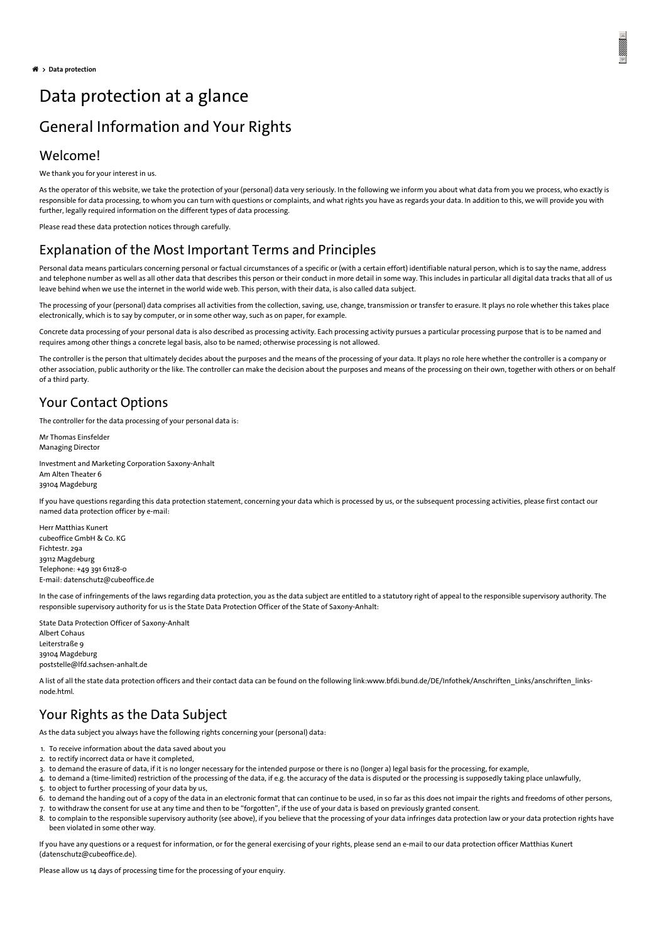# Data protection at a glance General Information and Your Rights

## Welcome!

We thank you for your interest in us.

As the operator of this website, we take the protection of your (personal) data very seriously. In the following we inform you about what data from you we process, who exactly is responsible for data processing, to whom you can turn with questions or complaints, and what rights you have as regards your data. In addition to this, we will provide you with further, legally required information on the different types of data processing.

Please read these data protection notices through carefully.

## Explanation of the Most Important Terms and Principles

Personal data means particulars concerning personal or factual circumstances of a specific or (with a certain effort) identifiable natural person, which is to say the name, address and telephone number as well as all other data that describes this person or their conduct in more detail in some way. This includes in particular all digital data tracks that all of us leave behind when we use the internet in the world wide web. This person, with their data, is also called data subject.

The processing of your (personal) data comprises all activities from the collection, saving, use, change, transmission or transfer to erasure. It plays no role whether this takes place electronically, which is to say by computer, or in some other way, such as on paper, for example.

Concrete data processing of your personal data is also described as processing activity. Each processing activity pursues a particular processing purpose that is to be named and requires among other things a concrete legal basis, also to be named; otherwise processing is not allowed.

The controller is the person that ultimately decides about the purposes and the means of the processing of your data. It plays no role here whether the controller is a company or other association, public authority or the like. The controller can make the decision about the purposes and means of the processing on their own, together with others or on behalf of a third party.

## Your Contact Options

The controller for the data processing of your personal data is:

Mr Thomas Einsfelder Managing Director

Investment and Marketing Corporation Saxony-Anhalt Am Alten Theater 6 39104 Magdeburg

If you have questions regarding this data protection statement, concerning your data which is processed by us, or the subsequent processing activities, please first contact our named data protection officer by e-mail:

Herr Matthias Kunert cubeoffice GmbH & Co. KG Fichtestr. 29a 39112 Magdeburg Telephone: +49 391 61128-0 E-mail: [datenschutz@cubeoffice.de](javascript:linkTo_UnCryptMailto(%2527nbjmup%252BebufotdivuaAdvcfpggjdf%255C%252Fef%2527);)

In the case of infringements of the laws regarding data protection, you as the data subject are entitled to a statutory right of appeal to the responsible supervisory authority. The responsible supervisory authority for us is the State Data Protection Officer of the State of Saxony-Anhalt:

State Data Protection Officer of Saxony-Anhalt Albert Cohaus Leiterstraße 9 39104 Magdeburg [poststelle@lfd.sachsen-anhalt.de](javascript:linkTo_UnCryptMailto(%2527nbjmup%252BqptutufmmfAmge%255C%252Ftbditfo.boibmu%255C%252Fef%2527);)

A list of all the state data protection officers and their contact data can be found on the following [link:www.bfdi.bund.de/DE/Infothek/Anschriften\\_Links/anschriften\\_links](https://www.bfdi.bund.de/DE/Infothek/Anschriften_Links/anschriften_links-node.html)node.html.

# Your Rights as the Data Subject

As the data subject you always have the following rights concerning your (personal) data:

- 1. To receive information about the data saved about you
- 2. to rectify incorrect data or have it completed,
- 3. to demand the erasure of data, if it is no longer necessary for the intended purpose or there is no (longer a) legal basis for the processing, for example,
- 4. to demand a (time-limited) restriction of the processing of the data, if e.g. the accuracy of the data is disputed or the processing is supposedly taking place unlawfully,
- 5. to object to further processing of your data by us,
- 6. to demand the handing out of a copy of the data in an electronic format that can continue to be used, in so far as this does not impair the rights and freedoms of other persons,
- 7. to withdraw the consent for use at any time and then to be "forgotten", if the use of your data is based on previously granted consent.
- 8. to complain to the responsible supervisory authority (see above), if you believe that the processing of your data infringes data protection law or your data protection rights have been violated in some other way.

If you have any questions or a request for information, or for the general exercising of your rights, please send an e-mail to our data protection officer Matthias Kunert [\(datenschutz@cubeoffice.de](javascript:linkTo_UnCryptMailto(%2527nbjmup%252BebufotdivuaAdvcfpggjdf%255C%252Fef%2527);)).

Please allow us 14 days of processing time for the processing of your enquiry.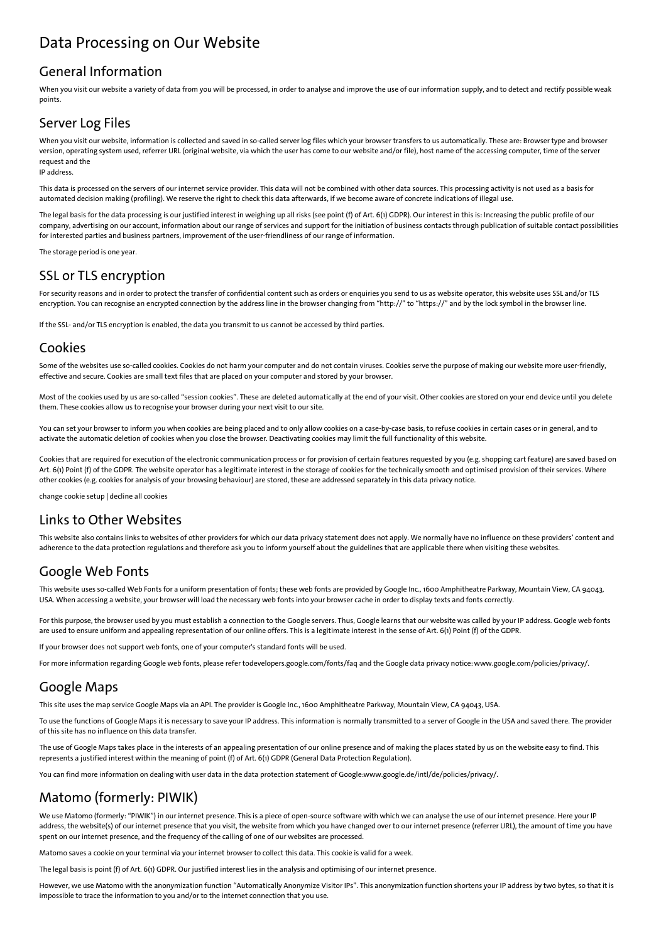# Data Processing on Our Website

### General Information

When you visit our website a variety of data from you will be processed, in order to analyse and improve the use of our information supply, and to detect and rectify possible weak points.

## Server Log Files

When you visit our website, information is collected and saved in so-called server log files which your browser transfers to us automatically. These are: Browser type and browser version, operating system used, referrer URL (original website, via which the user has come to our website and/or file), host name of the accessing computer, time of the server request and the

IP address.

This data is processed on the servers of our internet service provider. This data will not be combined with other data sources. This processing activity is not used as a basis for automated decision making (profiling). We reserve the right to check this data afterwards, if we become aware of concrete indications of illegal use.

The legal basis for the data processing is our justified interest in weighing up all risks (see point (f) of Art. 6(1) GDPR). Our interest in this is: Increasing the public profile of our company, advertising on our account, information about our range of services and support for the initiation of business contacts through publication of suitable contact possibilities for interested parties and business partners, improvement of the user-friendliness of our range of information.

The storage period is one year.

## SSL or TLS encryption

For security reasons and in order to protect the transfer of confidential content such as orders or enquiries you send to us as website operator, this website uses SSL and/or TLS encryption. You can recognise an encrypted connection by the address line in the browser changing from "http://" to "https://" and by the lock symbol in the browser line.

If the SSL- and/or TLS encryption is enabled, the data you transmit to us cannot be accessed by third parties.

### Cookies

Some of the websites use so-called cookies. Cookies do not harm your computer and do not contain viruses. Cookies serve the purpose of making our website more user-friendly, effective and secure. Cookies are small text files that are placed on your computer and stored by your browser.

Most of the cookies used by us are so-called "session cookies". These are deleted automatically at the end of your visit. Other cookies are stored on your end device until you delete them. These cookies allow us to recognise your browser during your next visit to our site.

You can set your browser to inform you when cookies are being placed and to only allow cookies on a case-by-case basis, to refuse cookies in certain cases or in general, and to activate the automatic deletion of cookies when you close the browser. Deactivating cookies may limit the full functionality of this website.

Cookies that are required for execution of the electronic communication process or for provision of certain features requested by you (e.g. shopping cart feature) are saved based on Art. 6(1) Point (f) of the GDPR. The website operator has a legitimate interest in the storage of cookies for the technically smooth and optimised provision of their services. Where other cookies (e.g. cookies for analysis of your browsing behaviour) are stored, these are addressed separately in this data privacy notice.

[change](#page-2-0) cookie setup | [decline](#page-2-0) all cookies

## Links to Other Websites

This website also contains links to websites of other providers for which our data privacy statement does not apply. We normally have no influence on these providers' content and adherence to the data protection regulations and therefore ask you to inform yourself about the guidelines that are applicable there when visiting these websites.

## Google Web Fonts

This website uses so-called Web Fonts for a uniform presentation of fonts; these web fonts are provided by Google Inc., 1600 Amphitheatre Parkway, Mountain View, CA 94043, USA. When accessing a website, your browser will load the necessary web fonts into your browser cache in order to display texts and fonts correctly.

For this purpose, the browser used by you must establish a connection to the Google servers. Thus, Google learns that our website was called by your IP address. Google web fonts are used to ensure uniform and appealing representation of our online offers. This is a legitimate interest in the sense of Art. 6(1) Point (f) of the GDPR.

If your browser does not support web fonts, one of your computer's standard fonts will be used.

For more information regarding Google web fonts, please refer to[developers.google.com/fonts/faq](https://developers.google.com/fonts/faq) and the Google data privacy notice: [www.google.com/policies/privacy/](https://www.google.com/policies/privacy/).

### Google Maps

This site uses the map service Google Maps via an API. The provider is Google Inc., 1600 Amphitheatre Parkway, Mountain View, CA 94043, USA.

To use the functions of Google Maps it is necessary to save your IP address. This information is normally transmitted to a server of Google in the USA and saved there. The provider of this site has no influence on this data transfer.

The use of Google Maps takes place in the interests of an appealing presentation of our online presence and of making the places stated by us on the website easy to find. This represents a justified interest within the meaning of point (f) of Art. 6(1) GDPR (General Data Protection Regulation).

You can find more information on dealing with user data in the data protection statement of Google[:www.google.de/intl/de/policies/privacy/.](https://www.google.de/intl/de/policies/privacy/)

## Matomo (formerly: PIWIK)

We use Matomo (formerly: "PIWIK") in our internet presence. This is a piece of open-source software with which we can analyse the use of our internet presence. Here your IP address, the website(s) of our internet presence that you visit, the website from which you have changed over to our internet presence (referrer URL), the amount of time you have spent on our internet presence, and the frequency of the calling of one of our websites are processed.

Matomo saves a cookie on your terminal via your internet browser to collect this data. This cookie is valid for a week.

The legal basis is point (f) of Art. 6(1) GDPR. Our justified interest lies in the analysis and optimising of our internet presence.

However, we use Matomo with the anonymization function "Automatically Anonymize Visitor IPs". This anonymization function shortens your IP address by two bytes, so that it is impossible to trace the information to you and/or to the internet connection that you use.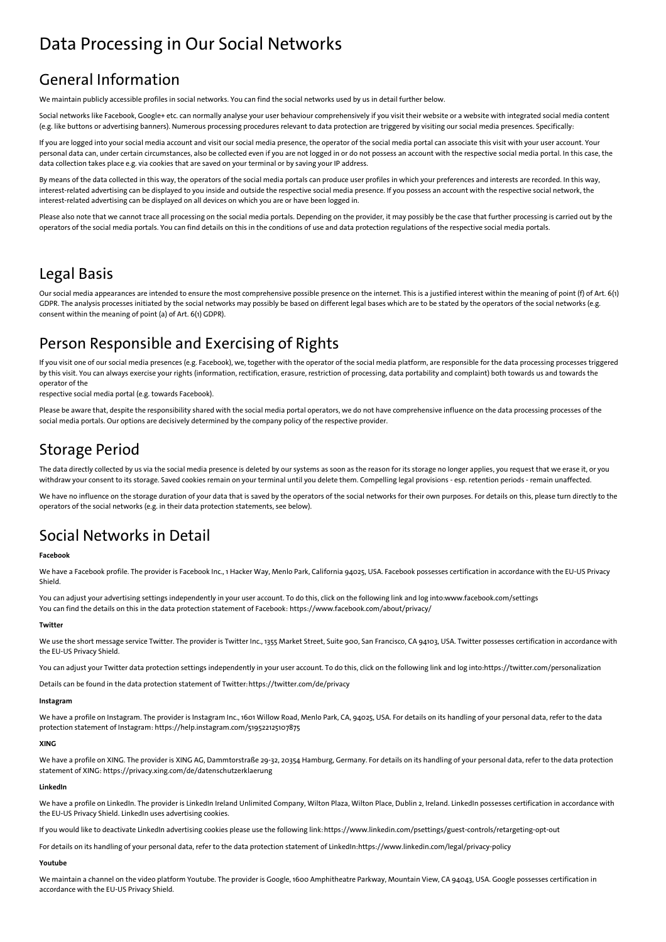# <span id="page-2-0"></span>Data Processing in Our Social Networks

# General Information

We maintain publicly accessible profiles in social networks. You can find the social networks used by us in detail further below.

Social networks like Facebook, Google+ etc. can normally analyse your user behaviour comprehensively if you visit their website or a website with integrated social media content (e.g. like buttons or advertising banners). Numerous processing procedures relevant to data protection are triggered by visiting our social media presences. Specifically:

If you are logged into your social media account and visit our social media presence, the operator of the social media portal can associate this visit with your user account. Your personal data can, under certain circumstances, also be collected even if you are not logged in or do not possess an account with the respective social media portal. In this case, the data collection takes place e.g. via cookies that are saved on your terminal or by saving your IP address.

By means of the data collected in this way, the operators of the social media portals can produce user profiles in which your preferences and interests are recorded. In this way, interest-related advertising can be displayed to you inside and outside the respective social media presence. If you possess an account with the respective social network, the interest-related advertising can be displayed on all devices on which you are or have been logged in.

Please also note that we cannot trace all processing on the social media portals. Depending on the provider, it may possibly be the case that further processing is carried out by the operators of the social media portals. You can find details on this in the conditions of use and data protection regulations of the respective social media portals.

# Legal Basis

Our social media appearances are intended to ensure the most comprehensive possible presence on the internet. This is a justified interest within the meaning of point (f) of Art. 6(1) GDPR. The analysis processes initiated by the social networks may possibly be based on different legal bases which are to be stated by the operators of the social networks (e.g. consent within the meaning of point (a) of Art. 6(1) GDPR).

# Person Responsible and Exercising of Rights

If you visit one of our social media presences (e.g. Facebook), we, together with the operator of the social media platform, are responsible for the data processing processes triggered by this visit. You can always exercise your rights (information, rectification, erasure, restriction of processing, data portability and complaint) both towards us and towards the operator of the

respective social media portal (e.g. towards Facebook).

Please be aware that, despite the responsibility shared with the social media portal operators, we do not have comprehensive influence on the data processing processes of the social media portals. Our options are decisively determined by the company policy of the respective provider.

# Storage Period

The data directly collected by us via the social media presence is deleted by our systems as soon as the reason for its storage no longer applies, you request that we erase it, or you withdraw your consent to its storage. Saved cookies remain on your terminal until you delete them. Compelling legal provisions - esp. retention periods - remain unaffected.

We have no influence on the storage duration of your data that is saved by the operators of the social networks for their own purposes. For details on this, please turn directly to the operators of the social networks (e.g. in their data protection statements, see below).

# Social Networks in Detail

#### **Facebook**

We have a Facebook profile. The provider is Facebook Inc., 1 Hacker Way, Menlo Park, California 94025, USA. Facebook possesses certification in accordance with the EU-US Privacy Shield.

You can adjust your advertising settings independently in your user account. To do this, click on the following link and log into[:www.facebook.com/settings](https://www.facebook.com/settings?tab=ads) You can find the details on this in the data protection statement of Facebook: <https://www.facebook.com/about/privacy/>

#### **Twitter**

We use the short message service Twitter. The provider is Twitter Inc., 1355 Market Street, Suite 900, San Francisco, CA 94103, USA. Twitter possesses certification in accordance with the EU-US Privacy Shield.

You can adjust your Twitter data protection settings independently in your user account. To do this, click on the following link and log into[:https://twitter.com/personalization](https://twitter.com/personalization)

Details can be found in the data protection statement of Twitter:<https://twitter.com/de/privacy>

### **Instagram**

We have a profile on Instagram. The provider is Instagram Inc., 1601 Willow Road, Menlo Park, CA, 94025, USA. For details on its handling of your personal data, refer to the data protection statement of Instagram: <https://help.instagram.com/519522125107875>

#### **XING**

We have a profile on XING. The provider is XING AG, Dammtorstraße 29-32, 20354 Hamburg, Germany. For details on its handling of your personal data, refer to the data protection statement of XING: <https://privacy.xing.com/de/datenschutzerklaerung>

#### **LinkedIn**

We have a profile on LinkedIn. The provider is LinkedIn Ireland Unlimited Company, Wilton Plaza, Wilton Place, Dublin 2, Ireland. LinkedIn possesses certification in accordance with the EU-US Privacy Shield. LinkedIn uses advertising cookies.

If you would like to deactivate LinkedIn advertising cookies please use the following link: <https://www.linkedin.com/psettings/guest-controls/retargeting-opt-out>

For details on its handling of your personal data, refer to the data protection statement of LinkedIn:<https://www.linkedin.com/legal/privacy-policy>

### **Youtube**

We maintain a channel on the video platform Youtube. The provider is Google, 1600 Amphitheatre Parkway, Mountain View, CA 94043, USA. Google possesses certification in accordance with the EU-US Privacy Shield.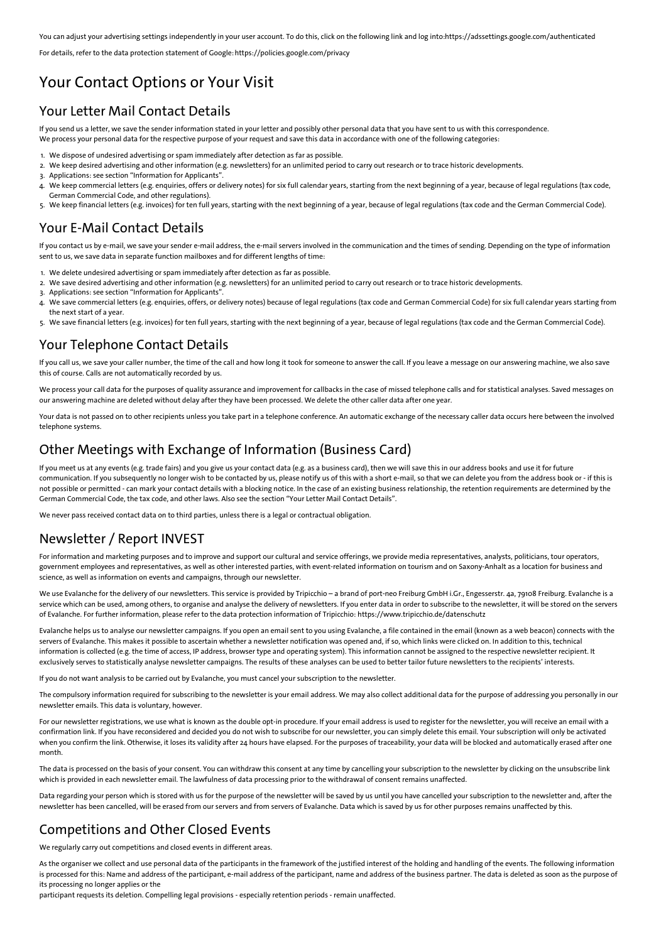You can adjust your advertising settings independently in your user account. To do this, click on the following link and log into[:https://adssettings.google.com/authenticated](https://adssettings.google.com/authenticated)

For details, refer to the data protection statement of Google:<https://policies.google.com/privacy>

## Your Contact Options or Your Visit

## Your Letter Mail Contact Details

If you send us a letter, we save the sender information stated in your letter and possibly other personal data that you have sent to us with this correspondence. We process your personal data for the respective purpose of your request and save this data in accordance with one of the following categories:

- 1. We dispose of undesired advertising or spam immediately after detection as far as possible.
- 2. We keep desired advertising and other information (e.g. newsletters) for an unlimited period to carry out research or to trace historic developments.
- 3. Applications: see section "Information for Applicants".
- 4. We keep commercial letters (e.g. enquiries, offers or delivery notes) for six full calendar years, starting from the next beginning of a year, because of legal regulations (tax code, German Commercial Code, and other regulations).
- 5. We keep financial letters (e.g. invoices) for ten full years, starting with the next beginning of a year, because of legal regulations (tax code and the German Commercial Code).

## Your E-Mail Contact Details

If you contact us by e-mail, we save your sender e-mail address, the e-mail servers involved in the communication and the times of sending. Depending on the type of information sent to us, we save data in separate function mailboxes and for different lengths of time:

- 1. We delete undesired advertising or spam immediately after detection as far as possible.
- 2. We save desired advertising and other information (e.g. newsletters) for an unlimited period to carry out research or to trace historic developments.
- 3. Applications: see section "Information for Applicants".
- 4. We save commercial letters (e.g. enquiries, offers, or delivery notes) because of legal regulations (tax code and German Commercial Code) for six full calendar years starting from the next start of a year.
- 5. We save financial letters (e.g. invoices) for ten full years, starting with the next beginning of a year, because of legal regulations (tax code and the German Commercial Code).

## Your Telephone Contact Details

If you call us, we save your caller number, the time of the call and how long it took for someone to answer the call. If you leave a message on our answering machine, we also save this of course. Calls are not automatically recorded by us.

We process your call data for the purposes of quality assurance and improvement for callbacks in the case of missed telephone calls and for statistical analyses. Saved messages on our answering machine are deleted without delay after they have been processed. We delete the other caller data after one year.

Your data is not passed on to other recipients unless you take part in a telephone conference. An automatic exchange of the necessary caller data occurs here between the involved telephone systems.

## Other Meetings with Exchange of Information (Business Card)

If you meet us at any events (e.g. trade fairs) and you give us your contact data (e.g. as a business card), then we will save this in our address books and use it for future communication. If you subsequently no longer wish to be contacted by us, please notify us of this with a short e-mail, so that we can delete you from the address book or - if this is not possible or permitted - can mark your contact details with a blocking notice. In the case of an existing business relationship, the retention requirements are determined by the German Commercial Code, the tax code, and other laws. Also see the section "Your Letter Mail Contact Details".

We never pass received contact data on to third parties, unless there is a legal or contractual obligation.

## Newsletter / Report INVEST

For information and marketing purposes and to improve and support our cultural and service offerings, we provide media representatives, analysts, politicians, tour operators, government employees and representatives, as well as other interested parties, with event-related information on tourism and on Saxony-Anhalt as a location for business and science, as well as information on events and campaigns, through our newsletter.

We use Evalanche for the delivery of our newsletters. This service is provided by Tripicchio - a brand of port-neo Freiburg GmbH i.Gr., Engesserstr. 4a, 79108 Freiburg. Evalanche is a service which can be used, among others, to organise and analyse the delivery of newsletters. If you enter data in order to subscribe to the newsletter, it will be stored on the servers of Evalanche. For further information, please refer to the data protection information of Tripicchio: <https://www.tripicchio.de/datenschutz>

Evalanche helps us to analyse our newsletter campaigns. If you open an email sent to you using Evalanche, a file contained in the email (known as a web beacon) connects with the servers of Evalanche. This makes it possible to ascertain whether a newsletter notification was opened and, if so, which links were clicked on. In addition to this, technical information is collected (e.g. the time of access, IP address, browser type and operating system). This information cannot be assigned to the respective newsletter recipient. It exclusively serves to statistically analyse newsletter campaigns. The results of these analyses can be used to better tailor future newsletters to the recipients' interests.

If you do not want analysis to be carried out by Evalanche, you must cancel your subscription to the newsletter.

The compulsory information required for subscribing to the newsletter is your email address. We may also collect additional data for the purpose of addressing you personally in our newsletter emails. This data is voluntary, however.

For our newsletter registrations, we use what is known as the double opt-in procedure. If your email address is used to register for the newsletter, you will receive an email with a confirmation link. If you have reconsidered and decided you do not wish to subscribe for our newsletter, you can simply delete this email. Your subscription will only be activated when you confirm the link. Otherwise, it loses its validity after 24 hours have elapsed. For the purposes of traceability, your data will be blocked and automatically erased after one month.

The data is processed on the basis of your consent. You can withdraw this consent at any time by cancelling your subscription to the newsletter by clicking on the unsubscribe link which is provided in each newsletter email. The lawfulness of data processing prior to the withdrawal of consent remains unaffected.

Data regarding your person which is stored with us for the purpose of the newsletter will be saved by us until you have cancelled your subscription to the newsletter and, after the newsletter has been cancelled, will be erased from our servers and from servers of Evalanche. Data which is saved by us for other purposes remains unaffected by this.

## Competitions and Other Closed Events

We regularly carry out competitions and closed events in different areas.

As the organiser we collect and use personal data of the participants in the framework of the justified interest of the holding and handling of the events. The following information is processed for this: Name and address of the participant, e-mail address of the participant, name and address of the business partner. The data is deleted as soon as the purpose of its processing no longer applies or the

participant requests its deletion. Compelling legal provisions - especially retention periods - remain unaffected.